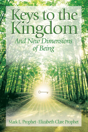# Keys to the<br>Kingdom **And New Dimensions** of Being

Mark L. Prophet · Elizabeth Clare Prophet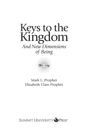



## Mark L. Prophet Elizabeth Clare Prophet

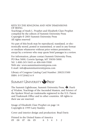KEYS TO THE KINGDOM AND NEW DIMENSIONS OF BEING Teachings of Mark L. Prophet and Elizabeth Clare Prophet compiled by the editors of Summit University Press Copyright © 2003 Summit University Press

All rights reserved

No part of this book may be reproduced, translated, or electronically stored, posted or transmitted, or used in any format or medium whatsoever without prior written permission, except by a reviewer who may quote brief passages in a review.

For information, please contact Summit University Press, PO Box 5000, Corwin Springs, MT 59030-5000. Tel: 1-800-245-5445 or 406-848-9500 Web site: www.summituniversitypress.com E-mail: info@summituniversitypress.com

Library of Congress Catalog Card Number: 2002113500 ISBN: 0-9720402-6-9

## SUMMIT UNIVERSITY SPRESS

The Summit Lighthouse, Summit University Press, **V**, *Pearls of Wisdom*, Teachings of the Ascended Masters, and Science of the Spoken Word are trademarks registered in the U.S. Patent and Trademark Office and in other countries. All rights to their use are reserved.

Image of Elizabeth Clare Prophet on page 14: Copyright © 1999 Larry Stanley

Cover and interior design and production: Brad Davis

Printed in the United States of America 09 08 07 06 05 6 5 4 3 2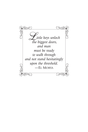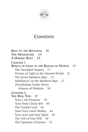

## **CONTENTS**

**KEYS TO THE KINGDOM 11 THE MESSENGERS 13 A UNIQUE ROLE 15 CHAPTER 1 BEINGS OF LIGHT IN THE REALMS OF HEAVEN 17** The Ascended Masters 17 Homes of Light in the Heaven-World 21 The Seven Rainbow Rays 25 Meditation on the Rainbow Rays 27 Discipleship Under Seven Masters of Wisdom 30 **CHAPTER 2 THE REAL YOU 37** Your I AM Presence 39 Your Holy Christ Self 40 The Crystal Cord 44 Your Four Lower Bodies 44 Your Soul and Your Spirit 49 The Gift of Free Will 50 The Equation of Karma 52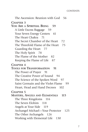#### **CONTENTS**

The Ascension: Reunion with God 56 **CHAPTER 3 YOU ARE A SPIRITUAL BEING 59** A Little Excess Baggage 59 Your Seven Energy Centers 61 The Heart Chakra 71 The Secret Chamber of the Heart 72 The Threefold Flame of the Heart 75 Guarding the Heart 77 The Holy Spirit 78 The Flame of the Mother 82 Keeping the Flame of Life 87 **CHAPTER 4 TOOLS FOR TRANSFORMATION 91** The Power of Prayer 91 The Creative Power of Sound 94 The Science of the Spoken Word 97 Saint Germain and the Violet Flame 99 Heart, Head and Hand Decrees 102 **CHAPTER 5 MASTERS, ANGELS AND ELEMENTALS 115** The Three Kingdoms 116 The Seven Elohim 118 Angels at Your Side 119 Archangel Michael—Your Protector 125 The Other Archangels 126 Working with Elemental Life 130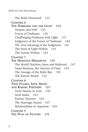#### KEYS TO THE KINGDOM

The Body Elemental 133 **CHAPTER 6 THE DARKNESS AND THE LIGHT 135** Heaven and Hell 135 Forces of Darkness 136 Challenging Darkness with Light 137 Judgment of the Forces of Darkness 140 The True Meaning of the Judgment 141 The Seed of Light Within 143 The Enemy Within 143 **CHAPTER 7 THE HEAVENLY HIERARCHY 147** The World Teachers, Jesus and Kuthumi 147 Sanat Kumara, the Ancient of Days 149 The Lineage of the Ruby Ray 150 The Karmic Board 152 **CHAPTER 8 TWIN FLAMES, SOUL MATES AND KARMIC PARTNERS 157** Twin Flames in Love 158 Soul Mates 163 Karmic Partners 164 The Marriage Union 167 Relationships in Aquarius 168 **CHAPTER 9 THE PLAN OF VICTORY 171**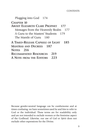Plugging into God 174 **CHAPTER 10 ABOUT ELIZABETH CLARE PROPHET 177** Messages from the Heavenly Realm 177 A Guru to the Masters' Students 179 The Mantle of Guru 180 **A TIMED-RELEASE CAPSULE OF LIGHT 185 MANTRAS AND DECREES 187 NOTES 216 RECOMMENDED RESOURCES 219 A NOTE FROM THE EDITORS 223**

Because gender-neutral language can be cumbersome and at times confusing, we have sometimes used *he* and *him* to refer to God or the individual. These terms are for readability only and are not intended to exclude women or the feminine aspect of the Godhead. Likewise, our use of *God* or *Spirit* does not exclude other expressions for the Divine.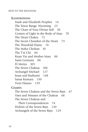**ILLUSTRATIONS** Mark and Elizabeth Prophet 14 The Teton Range, Wyoming 23 The Chart of Your Divine Self 38 Centers of Light in the Body of Man 70 The Heart Chakra 72 The Secret Chamber of the Heart 73 The Threefold Flame 76 The Maha Chohan 81 The T'ai Chi 84 Kuan Yin and Mother Mary 86 Saint Germain 88 El Morya 103 The Seven Chakras 106 Archangel Michael 127 Jesus and Kuthumi 148 Sanat Kumara 150 Twin Flames 159

**CHARTS**

The Seven Chakras and the Seven Rays 67 Uses and Misuses of the Chakras 68 The Seven Chakras and

Their Correspondences 74 Elohim of the Seven Rays 120 Archangels of the Seven Rays 129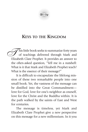

## **KEYS TO THE KINGDOM**

 $\sqrt{\ }$ his little book seeks to summarize forty years of teachings delivered through Mark and This little book seeks to summarize forty years<br>of teachings delivered through Mark and<br>Elizabeth Clare Prophet. It provides an answer to the often-asked question, "Tell me in a nutshell: What is it that Mark and Elizabeth Prophet teach? What is the essence of their message?"

It is difficult to encapsulate the lifelong mission of these two remarkable people into one small book. Yet, the vastness of the message can be distilled into the Great Commandment love for God, love for one's neighbor as oneself, love for the Christ and the Buddha within. It is the path walked by the saints of East and West for centuries.

The message is timeless, yet Mark and Elizabeth Clare Prophet give a new perspective on this message for a new millennium. In it you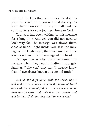will find the keys that can unlock the door to your Inner Self. In it you will find the keys to your destiny on earth. In it you will find the spiritual keys for your journey Home to God.

Your soul has been waiting for this message for a long time. And yet, you did not need to look very far. The message was always there, close at hand—right inside you. It is the message of the Higher Self, the inner guide and the teacher within. It is the message of the heart.

Perhaps that is why many recognize this message when they hear it, finding it strangely familiar. "Why yes," they say, "I already know that. I have always known this eternal truth."

*Behold, the days come, saith the LORD, that I will make a new covenant with the house of Israel and with the house of Judah.... I will put my law in their inward parts, and write it in their hearts; and will be their God, and they shall be my people.*1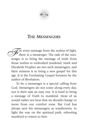

## **THE MESSENGERS**

 $\sqrt{\overline{S}}$  every message from the realms of light, there is a messenger. The task of the mes-For every message from the realms of light,<br>there is a messenger. The task of the messenger is to bring the message of truth from those realms to embodied mankind. Mark and Elizabeth Prophet are two such messengers, and their mission is to bring a new gospel for this age. It is the Everlasting Gospel foreseen by the author of Revelation.

To be a messenger is a special calling from God. Messengers do not come along every day, nor is their task an easy one. It is hard to bring a message of Truth to mankind. Most of us would rather not hear that we should change or move from our comfort zone. But God has always sent his messengers as wayshowers, to light the way on the spiritual path, exhorting mankind to return to him.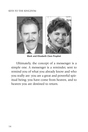#### KEYS TO THE KINGDOM



**Mark and Elizabeth Clare Prophet**

Ultimately, the concept of a messenger is a simple one. A messenger is a reminder, sent to remind you of what you already know and who you really are: you are a great and powerful spiritual being; you have come from heaven, and to heaven you are destined to return.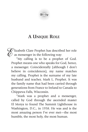

# **A UNIQUE ROLE**

Explizabeth Clare Prophet has described her role<br>  $\varphi$  as messenger in the following way:<br>
"My calling is to be a prophet of God.  $\sqrt{a}$  as messenger in the following way:

"My calling is to be a prophet of God. Prophet means one who speaks for God, hence, a messenger. Coincidentally (although I don't believe in coincidences), my name matches my calling. Prophet is the surname of my late husband and teacher, Mark L. Prophet. It was the family name that had been carried through generations from France to Ireland to Canada to Chippewa Falls, Wisconsin.

"Mark was a prophet and a messenger, called by God through the ascended master El Morya to found The Summit Lighthouse in Washington, D.C., in 1958. He was and is the most amazing person I've ever met—the most humble, the most holy, the most human.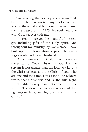"We were together for 12 years, were married, had four children, wrote many books, lectured around the world and built our movement. And then he passed on in 1973, his soul now one with God, yet ever with me.

"In 1964, I received the 'mantle' of messenger, including gifts of the Holy Spirit. And throughout my ministry, by God's grace, I have built upon the foundation of prophetic teachings already laid by my husband.

"As a messenger of God, I see myself as the servant of God's light within you. And the servant is not greater than his lord. My Lord is the Christ of Jesus and the Christ of you, who are one and the same. For, as John the Beloved wrote, that Christ was and is 'the true Light, which lighteth every man that cometh into the world.'2 Therefore, I come as a servant of that light—your light, my light, your Christ, my Christ<sup>"</sup>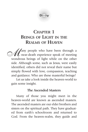# **CHAPTER 1 BEINGS OF LIGHT IN THE REALMS OF HEAVEN**

Aany people who have been through a  $\ell$  near-death experience speak of meeting **W** any people who have been through a near-death experience speak of meeting wondrous beings of light while on the other side. Although some, such as Jesus, were easily identified, others did not reveal their name but simply flowed with love, compassion, teaching and guidance. Who are these masterful beings?

Let us take a look inside the heaven-world to gain some insight.

#### **The Ascended Masters**

Many of those you might meet in the heaven-world are known as ascended masters. The ascended masters are our elder brothers and sisters on the spiritual path. They have graduated from earth's schoolroom and returned to God. From the heaven-realm, they guide and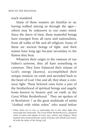teach mankind.

Many of these masters are familiar to us, having walked among us through the ages others may be unknown to our outer mind. Since the dawn of time, these masterful beings have emerged from all races and nationalities, from all walks of life and all religions. Some of them are ancient beings of light, and their names have long ago became secondary to the flames they bear.

Whatever their origin in the vastness of our Father's universe, they all have something in common. They have balanced their misuse of God's energy (karma), accomplished their unique mission on earth and ascended back to the heart of God. One and all, they share a common light. These beloved ones form a part of the brotherhood of spiritual beings and angelic hosts known in heaven and on earth as the Great White Brotherhood.\* They are spoken of in Revelation 7 as the great multitude of saints "clothed with white robes" who stand before

<sup>\*</sup> *White* refers not to race or nationality but to the white light that surrounds the immortals. The Great White Brotherhood is a spiritual order of saints and adepts of every race, culture and religion. These masters have transcended the cycles of karma and rebirth and reunited with the Spirit of the living God.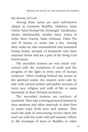the throne of God.

Among these saints are such well-known adepts as Gautama Buddha, Maitreya, Jesus Christ, Saint Michael the Archangel, Zarathustra, Moses, Melchizedek, Mother Mary, Teresa of Avila, Saint Francis, Saint Germain, Padre Pio and El Morya, to name just a few. Among their ranks are also unnumbered and unnamed loving hearts, servants of humanity who have returned Home and are a part of the living God forevermore.

The ascended masters are very much concerned with the evolutions of earth and the progress of the light in every area of human endeavor. Often working behind the scenes in the spiritual realm, the masters serve side by side with earnest seekers and public servants of every race, religion and walk of life to assist humanity in their forward evolution.

The ascended masters are teachers of mankind. They take a loving personal interest in their students and often intercede in their lives in many ways, both seen and unseen. They teach the path of overcoming victory where the soul can walk the earth with self-mastery, follow in the footsteps of Jesus or Buddha or other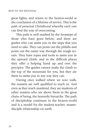great lights, and return to the heaven-world at the conclusion of a lifetime of service. This is the path of personal Christhood whereby each one can find the way of overcoming.

This path is well marked by the footsteps of those who have gone before, and there are guides who can assist you in the steps that you need to take. They can point out the pitfalls and point out the easier way through the rough terrain. They have ropes and tools to assist you in the upward climb, and in the difficult places they offer a helping hand up and over the precipice. The guides cannot make the climb to the top of the mountain for you, but they are there to assist you in any way they can.

Having once walked where we now walk, the masters are well qualified to teach us. And even as they teach mankind, they are students of other masters who are above them in the great chain of being, the heavenly hierarchy. The path of discipleship continues in the heaven-world and is a model for the student-teacher, masterdisciple relationship on earth.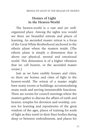### **Homes of Light in the Heaven-World**

The heaven-world is a vast and yet wellorganized place. Among the sights you would see there are beautiful retreats and places of learning. An ascended master retreat is a focus of the Great White Brotherhood anchored in the etheric plane where the masters reside. (The etheric plane is simply a dimension that is above our physical, mental and emotional world. This dimension is of a higher vibration that we call heaven, or the ascended master octave.)

Just as we have earthly houses and cities, so there are homes and cities of light in the heaven-world. The retreat of a master might have many rooms or buildings, accommodating many souls and serving innumerable functions. There are rooms for council meetings where the masters gather to discuss the affairs of earth and heaven, temples for devotion and worship, centers for learning and repositories of the great wisdom of the ages, places of training for souls of light as they travel in their finer bodies during sleep or between embodiments, and places for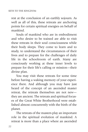rest at the conclusion of an earthly sojourn. As well as all of this, these retreats are anchoring points for certain spiritual energies on behalf of mankind.

Souls of mankind who are in embodiment and who desire to be trained are able to visit these retreats in their soul consciousness while their body sleeps. They come to learn and to study, to understand the circumstances of their lives and to prepare for the challenges of daily life in the schoolroom of earth. Many are consciously working at these inner levels to prepare for their life's calling or mission—their divine plan.

You may visit these retreats for some time before having a waking memory of your experience there. And although you may have just heard of the concept of an ascended master retreat, the retreats themselves are not new they are ancient. The retreats and spiritual focuses of the Great White Brotherhood were established almost concurrently with the birth of the planet.

The retreats of the masters play an important role in the spiritual evolution of mankind. A retreat is more than a place where an ascended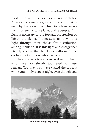master lives and receives his students, or chelas. A retreat is a mandala, or a forcefield, that is used by the solar hierarchies to release increments of energy to a planet and a people. This light is necessary to the forward progression of life on the planet. The masters step down this light through their chelas for distribution among mankind. It is this light and energy that literally sustains the planet as a platform for the evolution of all those who live here.

There are very few sincere seekers for truth who have not already journeyed to these retreats. You may well have visited the retreats while your body slept at night, even though you



**The Teton Range, Wyoming**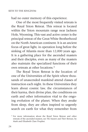had no outer memory of this experience.

One of the most frequently visited retreats is the Royal Teton Retreat. This retreat is located within the Teton mountain range near Jackson Hole, Wyoming. This vast and active center is the principal retreat of the Great White Brotherhood on the North American continent. It is an ancient focus of great light, in operation long before the sinking of Atlantis more than 12,000 years ago. It is a gathering place for the ascended masters and their disciples, even as many of the masters also maintain the specialized functions of their own retreats at other locations.\*

The Royal Teton Retreat is the location of one of the Universities of the Spirit where thousands of unascended mankind attend classes of instruction each night. In these Universities they learn about cosmic law, the circumstances of their karma, their divine plan, the conditions on earth and other information vital to the ongoing evolution of the planet. When they awake from sleep, they are often inspired to urgently search on earth for what they remember from

<sup>\*</sup> For more information about the Royal Teton Retreat and other retreats of the ascended masters, see *The Masters and Their Retreats,* by Mark and Elizabeth Clare Prophet.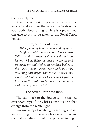the heavenly realm.

A simple request or prayer can enable the angels to take you to the masters' retreats while your body sleeps at night. Here is a prayer you can give to ask to be taken to the Royal Teton Retreat:

#### **Prayer for Soul Travel**

*Father, into thy hands I commend my spirit. Mighty I AM Presence and Holy Christ Self, I call to Archangel Michael and his legions of blue-lightning angels to protect and transport my soul clothed in my finer bodies to the Royal Teton Retreat near Jackson Hole, Wyoming this night. Escort me, instruct me, guide and protect me as I work to set free all life on earth. I ask this be done in accordance with the holy will of God.*

#### **The Seven Rainbow Rays**

The path back to the Source can be walked over seven rays of the Christ consciousness that emerge from the white light.

Imagine a ray of white light entering a prism and dividing into seven rainbow rays. These are the natural division of the pure white light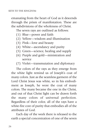emanating from the heart of God as it descends through the prism of manifestation. These are the subdivisions of the wholeness of Christ.

The seven rays are outlined as follows:

- (1) Blue—power and faith
- (2) Yellow—wisdom and illumination
- (3) Pink—love and beauty
- (4) White—ascendancy and purity
- (5) Green—science, healing and supply
- (6) Purple and gold—ministration and service
- (7) Violet—transmutation and diplomacy

The colors of the rays as they emerge from the white light remind us of Joseph's coat of many colors. Just as the seamless garment of the Lord Christ Jesus was white, so in his embodiment as Joseph, he wore the coat of many colors. The many became the one in the Christ, and out of that Christ light can be drawn forth the many colors of universal perfection. Regardless of their color, all of the rays have a white-fire core of purity that embodies all of the attributes of God.

Each day of the week there is released to the earth a special concentration of one of the seven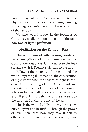rainbow rays of God. As these rays enter the physical world, they become a flame, bursting with energy to ignite a world in the seven colors of the rainbow.

We who would follow in the footsteps of Christ may meditate upon the colors of the rainbow rays of light's perfection.

## **Meditation on the Rainbow Rays**

Blue is the flame of faith, promise, constancy, power, strength and of the earnestness and will of God. It flows out of vast luminous reservoirs into sea and sky. It is Tuesday's blessing to the earth.

Yellow is the merging of the gold and the white, imparting illumination, the consecration of right knowledge, the service of right knowledge, the outshining of the Christ mind and the establishment of the law of harmonious relations between all peoples and between God and all peoples. It is the ray of the sun sent to the earth on Sunday, the day of the sun.

Pink is the symbol of divine love. Love is joyous, buoyant and beautiful. Through the power of love, men learn how they may impart to others the beauty and the compassion they have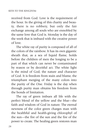received from God. Love is the requirement of the hour. In the giving of this charity and beauty, there is no robbery, but only the fair exchange among all souls who are ennobled by the same love that God is. Monday is the day of the week that is imbued with the creative power of love.

The white ray of purity is composed of all of the colors of the rainbow. It has its own gigantic sheath that, as a sea of liquid flame, holds before the children of men the longing to be a part of that which can never be contaminated by reason or by deceitful act. The white light is the mind of God, the nature and character of God. It is freedom from stain and blame, the triumphant merging of the many colors into the purity of the One. Friday is the day when through purity man obtains his freedom from the bonds of limitation.

The ray of green imbues all life with the perfect blend of the yellow and the blue—the faith and wisdom of God in nature. The eternal newness of the color green charges man with the healthful and health-giving chlorophyl of the sun—the fire of the sun and the fire of the power to create. The healing green restores man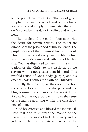to the primal nature of God. The ray of green supplies man with every lack and is the color of abundance and supply. It penetrates the earth on Wednesday, the day of healing and wholeness.

The purple and the gold imbue man with the desire for cosmic service. The colors are symbolic of the priesthood of true believers. The purple speaks of the illumined fire of the soul. This fire must assist every part of life to find reunion with its Source and with the golden law that God has dispensed to men. It is the ministration of the Christ to his disciples, of the servant who is not greater than his Lord. This twofold action of God's body (purple) and his essence (gold) bathes the earth on Thursday.

Finally, the violet ray synthesizes into action the rays of love and power, the pink and the blue, forming the radiance of the violet flame. Also called the royal purple, it shows the sense of the mantle aborning within the consciousness of man.

God has caressed and blessed the individual. Now that one must wear the mantle of the seventh ray, the robe of tact, diplomacy and of judgment. He must mediate as best he can for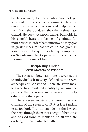his fellow men, for those who have not yet advanced to his level of attainment. He must serve the cause of freedom and help deliver men from the bondages they themselves have created. He does not expect thanks, but holds in his grateful heart the feeling of gratitude for more service in order that tomorrow he may give in greater measure that which he has given in lesser measure today. The violet ray is amplified on Saturday—a day to pause and consider the meaning and ritual of freedom.

#### **Discipleship Under Seven Masters of Wisdom**

The seven rainbow rays present seven paths to individual self-mastery, defined as the seven archetypes of Christhood. There are seven masters who have mastered identity by walking the paths of the seven rays and now stand to help others walk these paths.

These seven masters are known as the chohans of the seven rays. *Chohan* is a Sanskrit term for lord. The chohans define the law on their ray; through them that energy of the Christ and of God flows to mankind, to all who are evolving on that particular path.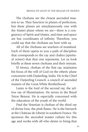The chohans are the closest ascended masters to us. They function in planes of perfection, but these planes are simultaneously one with the Matter plane where we are—there is a congruency of Spirit and Matter, and time and space are but coordinates of infinity. Therefore, you could say that the chohans are here with us.

All of the chohans are teachers of mankind. Each of them opens to you a path of discipline that corresponds to the ray and chakra (spiritual center) that that one represents. Let us look briefly at these seven chohans and their retreats.

El Morya, chohan of the first ray, maintains his focus of the will of God on the etheric plane concurrent with Darjeeling, India. He is the Chief of the Darjeeling Council, a council of ascended masters of the Great White Brotherhood.

Lanto is the lord of the second ray, the yellow ray of illumination. He serves in the Royal Teton Retreat. He is especially concerned with the education of the youth of the world.

Paul the Venetian is chohan of the third ray of divine love, the pink flame. He is the hierarch at the Château de Liberté in southern France. He sponsors the ascended master culture for this age and works with all who desire to bring that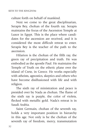culture forth on behalf of mankind.

Next we come to the great disciplinarian, Serapis Bey, chohan of the fourth ray. Serapis maintains the focus of the Ascension Temple at Luxor in Egypt. This is the place where candidates for the ascension are received, and it is considered the most difficult retreat to enter. Serapis Bey is the teacher of the path to the ascension.

Hilarion is the chohan of the fifth ray, the green ray of precipitation and truth. He was embodied as the apostle Paul. He maintains the Temple of Truth on the etheric plane over the island of Crete, in Greece. He works especially with atheists, agnostics, skeptics and others who have become disillusioned with life and with religion.

The sixth ray of ministration and peace is presided over by Nada as chohan. The flame of the sixth ray is purple, the color of violets, flecked with metallic gold. Nada's retreat is in Saudi Arabia.

Saint Germain, chohan of the seventh ray, holds a very important position in hierarchy in this age. Not only is he the chohan of the seventh ray of freedom, mercy, transmutation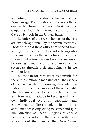and ritual, but he is also the hierarch of the Aquarian age. The pulsations of the violet flame can be felt from his etheric retreat over the Carpathian foothills in Romania and from the Cave of Symbols in the United States.

The offices of the seven chohans of the rays are divinely appointed by the cosmic hierarchy. Those who hold these offices are selected from among the most qualified ascended beings who have risen from earth's schoolroom. Each one has attained self-mastery and won the ascension by serving humanity on one or more of the seven rays through their embodiments in the world of form.

The chohan for each ray is responsible for the administration to mankind of all the aspects of their ray, while harmonizing their administration with the other six rays of the white light. The chohans always obey cosmic law; yet they are given certain latitude in keeping with their own individual evolution, capacities and endowments to direct mankind in the most adroit manner, giving loving assistance and spiritual direction as needed. Legions of angelic hosts and ascended brethren serve with them to carry out the plan of the Great White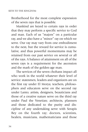Brotherhood for the most complete expression of the seven rays that is possible.

Mankind are keyed to certain rays in order that they may perform a specific service to God and man. Each of us "majors" on a particular ray, and we also have a "minor" ray on which we serve. Our ray may vary from one embodiment to the next, but the reward for service is cumulative, and thus powerful momentums may be retained from our past service on several or all of the rays. A balance of attainment on all of the seven rays is a requirement for the ascension and the mark of the golden-age man.

The services of the seven chohans impact all who work in the world whatever their level of service: statesmen, leaders and organizers are on the first ray under El Morya; teachers, philosophers and educators serve on the second ray under Lanto; artists, designers, beauticians and those of a creative nature serve on the third ray under Paul the Venetian; architects, planners and those dedicated to the purity and discipline of any undertaking serve with Serapis Bey on the fourth ray; doctors, scientists, healers, musicians, mathematicians and those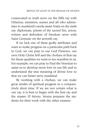consecrated to truth serve on the fifth ray with Hilarion; ministers, nurses and all who administer to mankind's needs assist Nada on the sixth ray; diplomats, priests of the sacred fire, actors, writers and defenders of freedom serve with Saint Germain on the seventh ray.

If we lack one of these godly attributes and want to make progress on a particular path back to God, we can pray to our God Presence, our own Holy Christ Self and the chohan of that ray for those qualities we want to see manifest in us. For example, we can pray to Paul the Venetian to assist us to develop more love in our life and to understand the true meaning of divine love so that we can better serve mankind.

By working with a chohan, we can make great strides of spiritual progress in a comparatively short time. If we are not certain what is our ray, it is best to begin with the first ray and the master El Morya. Morya prepares the students for their work with the other masters.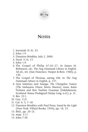

## **NOTES**

- 1. Jeremiah 31:31, 33.
- 2. John 1:9.
- 3. Dannion Brinkley, July 2, 2000.
- 4. Exod. 3:14, 15.
- 5. John 1:9.
- 6. The Gospel of Philip 67:26–27, in James M. Robinson, ed., *The Nag Hammadi Library in English,* 3d ed., rev. (San Francisco: Harper & Row, 1988), p. 150.
- 7. The Gospel of Thomas, saying 108, in *The Nag Hammadi Library in English,* p. 137.
- 8. Arya Maitreya and Asanga, *The Changeless Nature (The Mahayana Uttara Tantra Shastra),* trans. Katia Holmes and Ken Tsultim Gyamtso (Eskdalemuir, Scotland: Kama Drubgyud Darjay Ling, n.d.), p. 21.
- 9. Rev. 22:1.
- 10. Gen. 3:21.
- 11. Gal. 6: 5, 7–10.
- 12. Dannion Brinkley with Paul Perry, *Saved by the Light* (New York: Villard Books, 1994), pp. 18, 19.
- 13. Ibid., pp. 20–21.
- 14. Matt. 3:17.
- 15. John 7:38.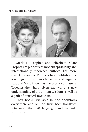#### KEYS TO THE KINGDOM



Mark L. Prophet and Elizabeth Clare Prophet are pioneers of modern spirituality and internationally renowned authors. For more than 40 years the Prophets have published the teachings of the immortal saints and sages of East and West known as the ascended masters. Together they have given the world a new understanding of the ancient wisdom as well as a path of practical mysticism.

Their books, available in fine bookstores everywhere and on-line, have been translated into more than 20 languages and are sold worldwide.